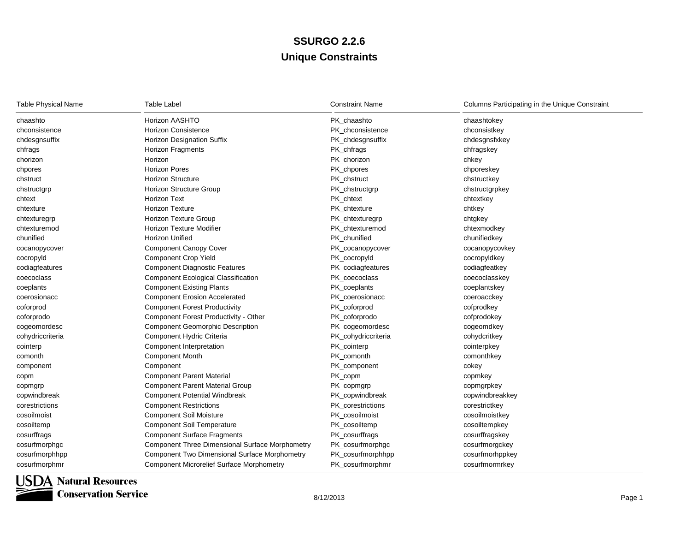## **Unique Constraints SSURGO 2.2.6**

| <b>Table Physical Name</b> | <b>Table Label</b>                                     | <b>Constraint Name</b> | Columns Participating in the Unique Constraint |
|----------------------------|--------------------------------------------------------|------------------------|------------------------------------------------|
| chaashto                   | Horizon AASHTO                                         | PK chaashto            | chaashtokey                                    |
| chconsistence              | <b>Horizon Consistence</b>                             | PK_chconsistence       | chconsistkey                                   |
| chdesgnsuffix              | <b>Horizon Designation Suffix</b>                      | PK_chdesgnsuffix       | chdesgnsfxkey                                  |
| chfrags                    | <b>Horizon Fragments</b>                               | PK_chfrags             | chfragskey                                     |
| chorizon                   | Horizon                                                | PK_chorizon            | chkey                                          |
| chpores                    | <b>Horizon Pores</b>                                   | PK_chpores             | chporeskey                                     |
| chstruct                   | <b>Horizon Structure</b>                               | PK chstruct            | chstructkey                                    |
| chstructgrp                | Horizon Structure Group                                | PK_chstructgrp         | chstructgrpkey                                 |
| chtext                     | Horizon Text                                           | PK chtext              | chtextkey                                      |
| chtexture                  | <b>Horizon Texture</b>                                 | PK_chtexture           | chtkey                                         |
| chtexturegrp               | Horizon Texture Group                                  | PK_chtexturegrp        | chtgkey                                        |
| chtexturemod               | <b>Horizon Texture Modifier</b>                        | PK_chtexturemod        | chtexmodkey                                    |
| chunified                  | <b>Horizon Unified</b>                                 | PK chunified           | chunifiedkey                                   |
| cocanopycover              | <b>Component Canopy Cover</b>                          | PK_cocanopycover       | cocanopycovkey                                 |
| cocropyld                  | <b>Component Crop Yield</b>                            | PK_cocropyId           | cocropyIdkey                                   |
| codiagfeatures             | <b>Component Diagnostic Features</b>                   | PK_codiagfeatures      | codiagfeatkey                                  |
| coecoclass                 | <b>Component Ecological Classification</b>             | PK_coecoclass          | coecoclasskey                                  |
| coeplants                  | <b>Component Existing Plants</b>                       | PK_coeplants           | coeplantskey                                   |
| coerosionacc               | <b>Component Erosion Accelerated</b>                   | PK coerosionacc        | coeroacckey                                    |
| coforprod                  | <b>Component Forest Productivity</b>                   | PK_coforprod           | cofprodkey                                     |
| coforprodo                 | Component Forest Productivity - Other                  | PK_coforprodo          | cofprodokey                                    |
| cogeomordesc               | <b>Component Geomorphic Description</b>                | PK_cogeomordesc        | cogeomdkey                                     |
| cohydriccriteria           | Component Hydric Criteria                              | PK_cohydriccriteria    | cohydcritkey                                   |
| cointerp                   | Component Interpretation                               | PK_cointerp            | cointerpkey                                    |
| comonth                    | <b>Component Month</b>                                 | PK_comonth             | comonthkey                                     |
| component                  | Component                                              | PK component           | cokey                                          |
| copm                       | <b>Component Parent Material</b>                       | PK_copm                | copmkey                                        |
| copmgrp                    | <b>Component Parent Material Group</b>                 | PK_copmgrp             | copmgrpkey                                     |
| copwindbreak               | <b>Component Potential Windbreak</b>                   | PK_copwindbreak        | copwindbreakkey                                |
| corestrictions             | <b>Component Restrictions</b>                          | PK_corestrictions      | corestrictkey                                  |
| cosoilmoist                | <b>Component Soil Moisture</b>                         | PK cosoilmoist         | cosoilmoistkey                                 |
| cosoiltemp                 | <b>Component Soil Temperature</b>                      | PK cosoiltemp          | cosoiltempkey                                  |
| cosurffrags                | <b>Component Surface Fragments</b>                     | PK_cosurffrags         | cosurffragskey                                 |
| cosurfmorphgc              | <b>Component Three Dimensional Surface Morphometry</b> | PK_cosurfmorphgc       | cosurfmorgckey                                 |
| cosurfmorphhpp             | <b>Component Two Dimensional Surface Morphometry</b>   | PK_cosurfmorphhpp      | cosurfmorhppkey                                |
| cosurfmorphmr              | <b>Component Microrelief Surface Morphometry</b>       | PK_cosurfmorphmr       | cosurfmormrkey                                 |

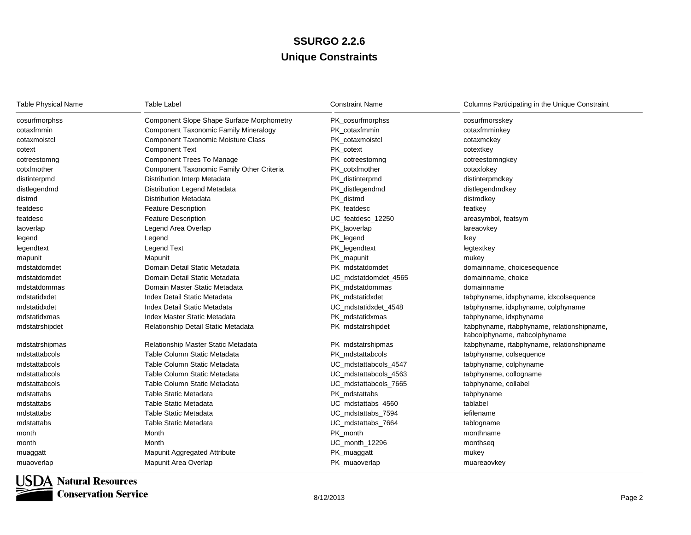## **Unique Constraints SSURGO 2.2.6**

| <b>Table Physical Name</b> | <b>Table Label</b>                               | <b>Constraint Name</b> | Columns Participating in the Unique Constraint                                |
|----------------------------|--------------------------------------------------|------------------------|-------------------------------------------------------------------------------|
| cosurfmorphss              | <b>Component Slope Shape Surface Morphometry</b> | PK_cosurfmorphss       | cosurfmorsskey                                                                |
| cotaxfmmin                 | <b>Component Taxonomic Family Mineralogy</b>     | PK_cotaxfmmin          | cotaxfmminkey                                                                 |
| cotaxmoistcl               | <b>Component Taxonomic Moisture Class</b>        | PK cotaxmoistcl        | cotaxmckey                                                                    |
| cotext                     | <b>Component Text</b>                            | PK cotext              | cotextkey                                                                     |
| cotreestomng               | Component Trees To Manage                        | PK_cotreestomng        | cotreestomngkey                                                               |
| cotxfmother                | Component Taxonomic Family Other Criteria        | PK_cotxfmother         | cotaxfokey                                                                    |
| distinterpmd               | Distribution Interp Metadata                     | PK_distinterpmd        | distinterpmdkey                                                               |
| distlegendmd               | Distribution Legend Metadata                     | PK_distlegendmd        | distlegendmdkey                                                               |
| distmd                     | <b>Distribution Metadata</b>                     | PK_distmd              | distmdkey                                                                     |
| featdesc                   | <b>Feature Description</b>                       | PK_featdesc            | featkey                                                                       |
| featdesc                   | <b>Feature Description</b>                       | UC featdesc 12250      | areasymbol, featsym                                                           |
| laoverlap                  | Legend Area Overlap                              | PK_laoverlap           | lareaovkey                                                                    |
| legend                     | Legend                                           | PK_legend              | Ikey                                                                          |
| legendtext                 | <b>Legend Text</b>                               | PK_legendtext          | legtextkey                                                                    |
| mapunit                    | Mapunit                                          | PK_mapunit             | mukey                                                                         |
| mdstatdomdet               | Domain Detail Static Metadata                    | PK mdstatdomdet        | domainname, choicesequence                                                    |
| mdstatdomdet               | Domain Detail Static Metadata                    | UC_mdstatdomdet_4565   | domainname, choice                                                            |
| mdstatdommas               | Domain Master Static Metadata                    | PK mdstatdommas        | domainname                                                                    |
| mdstatidxdet               | Index Detail Static Metadata                     | PK mdstatidxdet        | tabphyname, idxphyname, idxcolsequence                                        |
| mdstatidxdet               | <b>Index Detail Static Metadata</b>              | UC_mdstatidxdet_4548   | tabphyname, idxphyname, colphyname                                            |
| mdstatidxmas               | Index Master Static Metadata                     | PK mdstatidxmas        | tabphyname, idxphyname                                                        |
| mdstatrshipdet             | Relationship Detail Static Metadata              | PK_mdstatrshipdet      | Itabphyname, rtabphyname, relationshipname,<br>Itabcolphyname, rtabcolphyname |
| mdstatrshipmas             | Relationship Master Static Metadata              | PK_mdstatrshipmas      | Itabphyname, rtabphyname, relationshipname                                    |
| mdstattabcols              | Table Column Static Metadata                     | PK mdstattabcols       | tabphyname, colsequence                                                       |
| mdstattabcols              | Table Column Static Metadata                     | UC mdstattabcols 4547  | tabphyname, colphyname                                                        |
| mdstattabcols              | Table Column Static Metadata                     | UC_mdstattabcols_4563  | tabphyname, collogname                                                        |
| mdstattabcols              | Table Column Static Metadata                     | UC mdstattabcols 7665  | tabphyname, collabel                                                          |
| mdstattabs                 | Table Static Metadata                            | PK mdstattabs          | tabphyname                                                                    |
| mdstattabs                 | Table Static Metadata                            | UC_mdstattabs_4560     | tablabel                                                                      |
| mdstattabs                 | Table Static Metadata                            | UC_mdstattabs_7594     | iefilename                                                                    |
| mdstattabs                 | Table Static Metadata                            | UC_mdstattabs_7664     | tablogname                                                                    |
| month                      | Month                                            | PK_month               | monthname                                                                     |
| month                      | Month                                            | UC_month_12296         | monthseq                                                                      |
| muaggatt                   | Mapunit Aggregated Attribute                     | PK_muaggatt            | mukey                                                                         |
| muaoverlap                 | Mapunit Area Overlap                             | PK muaoverlap          | muareaovkey                                                                   |



**Conservation Service**